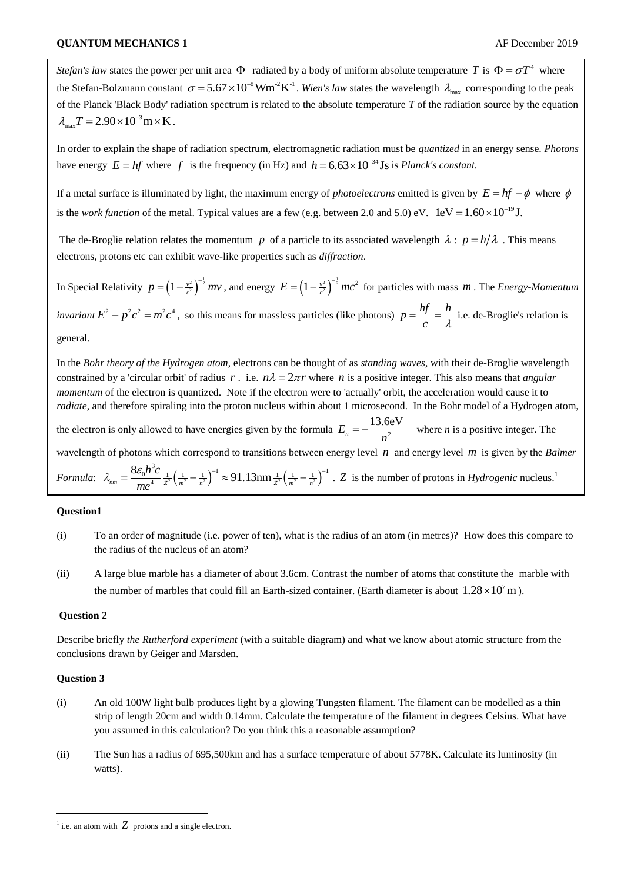*Stefan's law* states the power per unit area  $\Phi$  radiated by a body of uniform absolute temperature T is  $\Phi = \sigma T^4$  where the Stefan-Bolzmann constant  $\sigma = 5.67 \times 10^{-8}$  Wm<sup>-2</sup>K<sup>-1</sup>. Wien's law states the wavelength  $\lambda_{\text{max}}$  corresponding to the peak of the Planck 'Black Body' radiation spectrum is related to the absolute temperature *T* of the radiation source by the equation  $\lambda_{\text{max}} T = 2.90 \times 10^{-3} \text{ m} \times \text{K}.$ 

In order to explain the shape of radiation spectrum, electromagnetic radiation must be *quantized* in an energy sense. *Photons* have energy  $E = hf$  where f is the frequency (in Hz) and  $h = 6.63 \times 10^{-34}$  Js is *Planck's constant.* 

If a metal surface is illuminated by light, the maximum energy of *photoelectrons* emitted is given by  $E = hf - \phi$  where  $\phi$ is the *work function* of the metal. Typical values are a few (e.g. between 2.0 and 5.0) eV.  $1 \text{eV} = 1.60 \times 10^{-19} \text{J}$ .

The de-Broglie relation relates the momentum p of a particle to its associated wavelength  $\lambda : p = h/\lambda$ . This means electrons, protons etc can exhibit wave-like properties such as *diffraction*.

In Special Relativity  $p = \left(1 - \frac{v^2}{c^2}\right)^{-\frac{1}{2}} mv$ , and energy  $E = \left(1 - \frac{v^2}{c^2}\right)^{-\frac{1}{2}} mc^2$  for particles with mass *m*. The *Energy-Momentum invariant*  $E^2 - p^2c^2 = m^2c^4$ , so this means for massless particles (like photons)  $p = \frac{hf}{r^2} = \frac{h^2}{r^2}$  $c \lambda$  $=\frac{y}{\cdot}=\frac{n}{\cdot}$  i.e. de-Broglie's relation is general.

In the *Bohr theory of the Hydrogen atom*, electrons can be thought of as *standing waves*, with their de-Broglie wavelength constrained by a 'circular orbit' of radius r. i.e.  $n\lambda = 2\pi r$  where n is a positive integer. This also means that *angular momentum* of the electron is quantized. Note if the electron were to 'actually' orbit, the acceleration would cause it to *radiate*, and therefore spiraling into the proton nucleus within about 1 microsecond. In the Bohr model of a Hydrogen atom, the electron is only allowed to have energies given by the formula  $E_n = -\frac{13.6 \text{eV}}{n^2}$  $=-\frac{13.66 \text{ V}}{2}$  where *n* is a positive integer. The wavelength of photons which correspond to transitions between energy level *n* and energy level *m* is given by the *Balmer Formula*:  $\lambda_{nm} = \frac{3\epsilon_0 r^2}{4} \frac{1}{Z^2} \left( \frac{1}{m^2} - \frac{1}{n^2} \right)^2 \approx 91.13 \text{nm} \frac{1}{Z^2} \left( \frac{1}{m^2} - \frac{1}{n^2} \right)^2$  $\frac{1}{2} \left( \frac{1}{m^2} - \frac{1}{n^2} \right)^{-1} \approx 91.13 \text{nm} \frac{1}{2^2} \left( \frac{1}{m^2} - \frac{1}{n^2} \right)^{-1}$ 8 *nm*  $= \frac{8\varepsilon_0 h^3 c}{me^4} \frac{1}{z^2} \left(\frac{1}{m^2} - \frac{1}{n^2}\right)^{-1} \approx 91.13 \text{nm} \frac{1}{z^2} \left(\frac{1}{m^2} - \frac{1}{n}\right)$ or photons which correspond to transitions between energy level *n* and energy level *m* is given by the *Ba*<br>  $\lambda_{nm} = \frac{8\varepsilon_0 h^3 c}{ma^4} \frac{1}{z^2} \left(\frac{1}{m^2} - \frac{1}{n^2}\right)^{-1} \approx 91.13 \text{nm} \frac{1}{z^2} \left(\frac{1}{m^2} - \frac{1}{n^2}\right)^{-1}$ .

## **Question1**

- (i) To an order of magnitude (i.e. power of ten), what is the radius of an atom (in metres)? How does this compare to the radius of the nucleus of an atom?
- (ii) A large blue marble has a diameter of about 3.6cm. Contrast the number of atoms that constitute the marble with the number of marbles that could fill an Earth-sized container. (Earth diameter is about  $1.28 \times 10^{7}$  m).

## **Question 2**

Describe briefly *the Rutherford experiment* (with a suitable diagram) and what we know about atomic structure from the conclusions drawn by Geiger and Marsden.

## **Question 3**

-

- (i) An old 100W light bulb produces light by a glowing Tungsten filament. The filament can be modelled as a thin strip of length 20cm and width 0.14mm. Calculate the temperature of the filament in degrees Celsius. What have you assumed in this calculation? Do you think this a reasonable assumption?
- (ii) The Sun has a radius of 695,500km and has a surface temperature of about 5778K. Calculate its luminosity (in watts).

<sup>&</sup>lt;sup>1</sup> i.e. an atom with  $Z$  protons and a single electron.